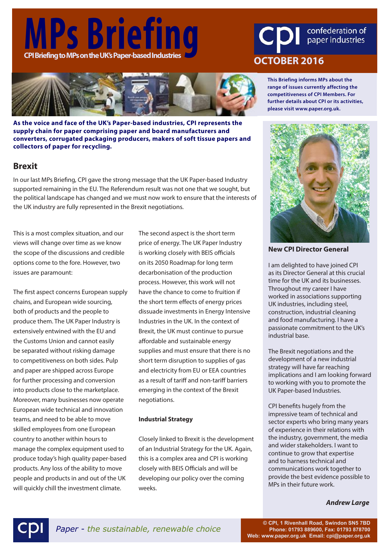# **MPS Briefing CDI** confederation of<br>CPI Briefing to MPs on the UK's Paper-based Industries<br>
OCTOBER 2016



**As the voice and face of the UK's Paper-based industries, CPI represents the supply chain for paper comprising paper and board manufacturers and converters, corrugated packaging producers, makers of soft tissue papers and collectors of paper for recycling.**

### **Brexit**

In our last MPs Briefing, CPI gave the strong message that the UK Paper-based Industry supported remaining in the EU. The Referendum result was not one that we sought, but the political landscape has changed and we must now work to ensure that the interests of the UK industry are fully represented in the Brexit negotiations.

This is a most complex situation, and our views will change over time as we know the scope of the discussions and credible options come to the fore. However, two issues are paramount:

The first aspect concerns European supply chains, and European wide sourcing, both of products and the people to produce them. The UK Paper Industry is extensively entwined with the EU and the Customs Union and cannot easily be separated without risking damage to competitiveness on both sides. Pulp and paper are shipped across Europe for further processing and conversion into products close to the marketplace. Moreover, many businesses now operate European wide technical and innovation teams, and need to be able to move skilled employees from one European country to another within hours to manage the complex equipment used to produce today's high quality paper-based products. Any loss of the ability to move people and products in and out of the UK will quickly chill the investment climate.

The second aspect is the short term price of energy. The UK Paper Industry is working closely with BEIS officials on its 2050 Roadmap for long term decarbonisation of the production process. However, this work will not have the chance to come to fruition if the short term effects of energy prices dissuade investments in Energy Intensive Industries in the UK. In the context of Brexit, the UK must continue to pursue affordable and sustainable energy supplies and must ensure that there is no short term disruption to supplies of gas and electricity from EU or EEA countries as a result of tariff and non-tariff barriers emerging in the context of the Brexit negotiations.

#### **Industrial Strategy**

Closely linked to Brexit is the development of an Industrial Strategy for the UK. Again, this is a complex area and CPI is working closely with BEIS Officials and will be developing our policy over the coming weeks.

**This Briefing informs MPs about the range of issues currently affecting the competitiveness of CPI Members. For further details about CPI or its activities, please visit www.paper.org.uk.**

#### **New CPI Director General**

I am delighted to have joined CPI as its Director General at this crucial time for the UK and its businesses. Throughout my career I have worked in associations supporting UK industries, including steel, construction, industrial cleaning and food manufacturing. I have a passionate commitment to the UK's industrial base.

The Brexit negotiations and the development of a new industrial strategy will have far reaching implications and I am looking forward to working with you to promote the UK Paper-based Industries.

CPI benefits hugely from the impressive team of technical and sector experts who bring many years of experience in their relations with the industry, government, the media and wider stakeholders. I want to continue to grow that expertise and to harness technical and communications work together to provide the best evidence possible to MPs in their future work.

*Andrew Large*



**© CPI, 1 Rivenhall Road, Swindon SN5 7BD Phone: 01793 889600, Fax: 01793 878700 Web: www.paper.org.uk Email: cpi@paper.org.uk**